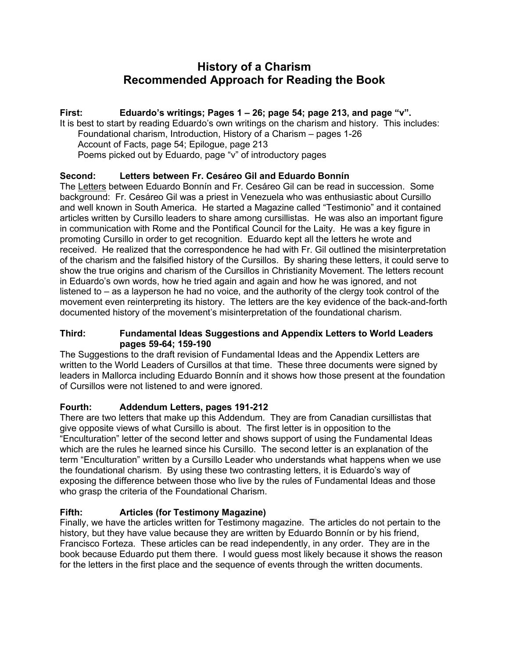# **History of a Charism Recommended Approach for Reading the Book**

# **First: Eduardo's writings; Pages 1 – 26; page 54; page 213, and page "v".**

It is best to start by reading Eduardo's own writings on the charism and history. This includes: Foundational charism, Introduction, History of a Charism – pages 1-26 Account of Facts, page 54; Epilogue, page 213 Poems picked out by Eduardo, page "v" of introductory pages

# **Second: Letters between Fr. Cesáreo Gil and Eduardo Bonnín**

The Letters between Eduardo Bonnín and Fr. Cesáreo Gil can be read in succession. Some background: Fr. Cesáreo Gil was a priest in Venezuela who was enthusiastic about Cursillo and well known in South America. He started a Magazine called "Testimonio" and it contained articles written by Cursillo leaders to share among cursillistas. He was also an important figure in communication with Rome and the Pontifical Council for the Laity. He was a key figure in promoting Cursillo in order to get recognition. Eduardo kept all the letters he wrote and received. He realized that the correspondence he had with Fr. Gil outlined the misinterpretation of the charism and the falsified history of the Cursillos. By sharing these letters, it could serve to show the true origins and charism of the Cursillos in Christianity Movement. The letters recount in Eduardo's own words, how he tried again and again and how he was ignored, and not listened to – as a layperson he had no voice, and the authority of the clergy took control of the movement even reinterpreting its history. The letters are the key evidence of the back-and-forth documented history of the movement's misinterpretation of the foundational charism.

#### **Third: Fundamental Ideas Suggestions and Appendix Letters to World Leaders pages 59-64; 159-190**

The Suggestions to the draft revision of Fundamental Ideas and the Appendix Letters are written to the World Leaders of Cursillos at that time. These three documents were signed by leaders in Mallorca including Eduardo Bonnín and it shows how those present at the foundation of Cursillos were not listened to and were ignored.

## **Fourth: Addendum Letters, pages 191-212**

There are two letters that make up this Addendum. They are from Canadian cursillistas that give opposite views of what Cursillo is about. The first letter is in opposition to the "Enculturation" letter of the second letter and shows support of using the Fundamental Ideas which are the rules he learned since his Cursillo. The second letter is an explanation of the term "Enculturation" written by a Cursillo Leader who understands what happens when we use the foundational charism. By using these two contrasting letters, it is Eduardo's way of exposing the difference between those who live by the rules of Fundamental Ideas and those who grasp the criteria of the Foundational Charism.

# **Fifth: Articles (for Testimony Magazine)**

Finally, we have the articles written for Testimony magazine. The articles do not pertain to the history, but they have value because they are written by Eduardo Bonnín or by his friend, Francisco Forteza. These articles can be read independently, in any order. They are in the book because Eduardo put them there. I would guess most likely because it shows the reason for the letters in the first place and the sequence of events through the written documents.